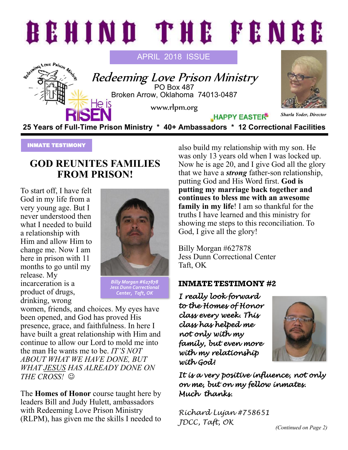

### **GOD REUNITES FAMILIES FROM PRISON!**

To start off, I have felt God in my life from a very young age. But I never understood then what I needed to build a relationship with Him and allow Him to change me. Now I am here in prison with 11 months to go until my release. My incarceration is a product of drugs, drinking, wrong



*Billy Morgan #627878 Jess Dunn Correctional Center, Taft, OK*

women, friends, and choices. My eyes have been opened, and God has proved His presence, grace, and faithfulness. In here I have built a great relationship with Him and continue to allow our Lord to mold me into the man He wants me to be. *IT'S NOT ABOUT WHAT WE HAVE DONE, BUT WHAT JESUS HAS ALREADY DONE ON THE CROSS!* ☺

The **Homes of Honor** course taught here by leaders Bill and Judy Hulett, ambassadors with Redeeming Love Prison Ministry (RLPM), has given me the skills I needed to

also build my relationship with my son. He was only 13 years old when I was locked up. Now he is age 20, and I give God all the glory that we have a *strong* father-son relationship, putting God and His Word first. **God is putting my marriage back together and continues to bless me with an awesome family in my life**! I am so thankful for the truths I have learned and this ministry for showing me steps to this reconciliation. To God, I give all the glory!

Billy Morgan #627878 Jess Dunn Correctional Center Taft, OK

#### **INMATE TESTIMONY #2**

*I really look forward to the Homes of Honor class every week. This class has helped me not only with my family, but even more with my relationship with God!* 



*It is a very positive influence, not only on me, but on my fellow inmates. Much thanks.* 

*Richard Lujan #758651 JDCC, Taft, OK*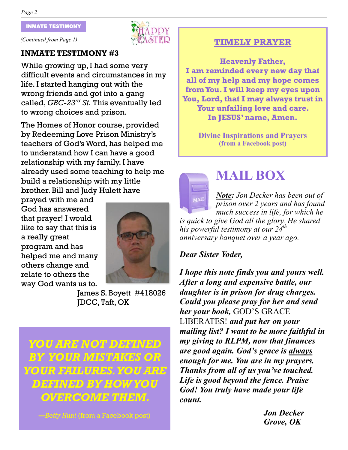INMATE TESTIMONY

*(Continued from Page 1)*

#### **INMATE TESTIMONY #3**

While growing up, I had some very difficult events and circumstances in my life. I started hanging out with the wrong friends and got into a gang called, *GBC-23rd St.* This eventually led to wrong choices and prison.

The Homes of Honor course, provided by Redeeming Love Prison Ministry's teachers of God's Word, has helped me to understand how I can have a good relationship with my family. I have already used some teaching to help me build a relationship with my little brother. Bill and Judy Hulett have

prayed with me and God has answered that prayer! I would like to say that this is a really great program and has helped me and many others change and relate to others the way God wants us to.



James S. Boyett #418026 JDCC, Taft, OK

*YOU ARE NOT DEFINED BY YOUR MISTAKES OR YOUR FAILURES. YOU ARE DEFINED BY HOW YOU OVERCOME THEM.* 

*—Betty Hunt* (from a Facebook post)



**Heavenly Father, I am reminded every new day that all of my help and my hope comes from You. I will keep my eyes upon You, Lord, that I may always trust in Your unfailing love and care. In JESUS' name, Amen.**

> **Divine Inspirations and Prayers (from a Facebook post)**



**DDY** 

# **MAIL BOX**

*Note: Jon Decker has been out of prison over 2 years and has found much success in life, for which he* 

*is quick to give God all the glory. He shared his powerful testimony at our 24th anniversary banquet over a year ago.*

#### *Dear Sister Yoder,*

*I hope this note finds you and yours well. After a long and expensive battle, our daughter is in prison for drug charges. Could you please pray for her and send her your book,* GOD'S GRACE LIBERATES! *and put her on your mailing list? I want to be more faithful in my giving to RLPM, now that finances are good again. God's grace is always enough for me. You are in my prayers. Thanks from all of us you've touched. Life is good beyond the fence. Praise God! You truly have made your life count.*

> *Jon Decker Grove, OK*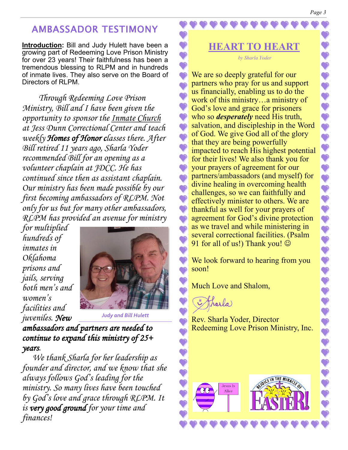# AMBASSADOR TESTIMONY

**Introduction:** Bill and Judy Hulett have been a growing part of Redeeming Love Prison Ministry for over 23 years! Their faithfulness has been a tremendous blessing to RLPM and in hundreds of inmate lives. They also serve on the Board of Directors of RLPM.

 *Through Redeeming Love Prison Ministry, Bill and I have been given the opportunity to sponsor the Inmate Church at Jess Dunn Correctional Center and teach weekly Homes of Honor classes there. After Bill retired 11 years ago, Sharla Yoder recommended Bill for an opening as a volunteer chaplain at JDCC. He has continued since then as assistant chaplain. Our ministry has been made possible by our first becoming ambassadors of RLPM. Not only for us but for many other ambassadors, RLPM has provided an avenue for ministry* 

*for multiplied hundreds of inmates in Oklahoma prisons and jails, serving both men's and women's facilities and juveniles. New* 



*Judy and Bill Hulett*

*ambassadors and partners are needed to continue to expand this ministry of 25+ years.* 

 *We thank Sharla for her leadership as founder and director, and we know that she always follows God's leading for the ministry. So many lives have been touched by God's love and grace through RLPM. It is very good ground for your time and finances!* 

**HEART TO HEART** *by Sharla Yoder*

We are so deeply grateful for our partners who pray for us and support us financially, enabling us to do the work of this ministry…a ministry of  $\bullet$ God's love and grace for prisoners  $\bullet$ who so *desperately* need His truth, salvation, and discipleship in the Word  $\bullet$ of God. We give God all of the glory  $\bullet$ that they are being powerfully  $\bullet$ impacted to reach His highest potential  $\heartsuit$ for their lives! We also thank you for your prayers of agreement for our partners/ambassadors (and myself) for  $\bullet$ divine healing in overcoming health  $\bullet$ challenges, so we can faithfully and  $\bullet$ effectively minister to others. We are  $\bullet$ thankful as well for your prayers of  $\bullet$ agreement for God's divine protection as we travel and while ministering in  $\bullet$ several correctional facilities. (Psalm 91 for all of us!) Thank you!  $\odot$ 

We look forward to hearing from you soon!

Much Love and Shalom,

Tharla

 $\bullet$ 

 $\bigcirc$ 

Rev. Sharla Yoder, Director Redeeming Love Prison Ministry, Inc.



22222222